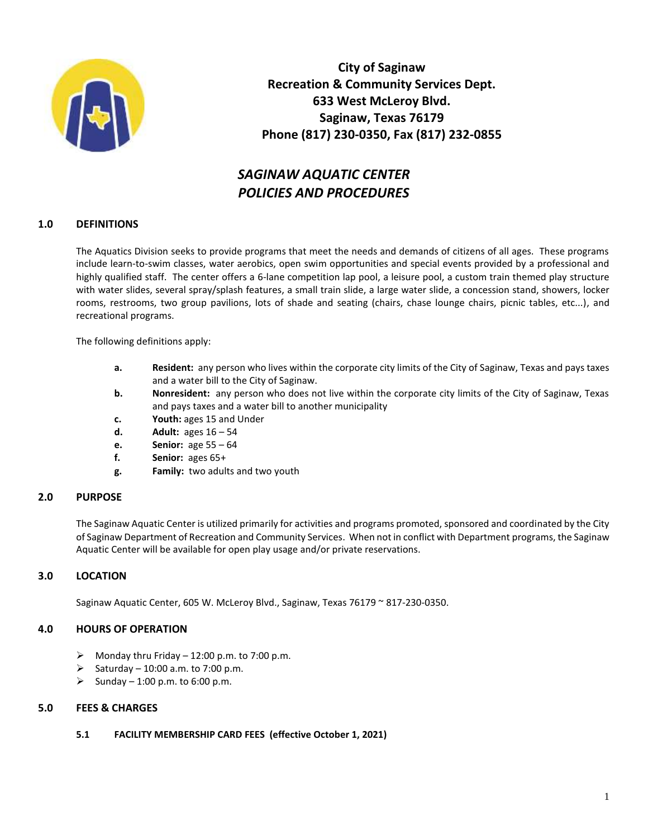

**City of Saginaw Recreation & Community Services Dept. 633 West McLeroy Blvd. Saginaw, Texas 76179 Phone (817) 230-0350, Fax (817) 232-0855**

# *SAGINAW AQUATIC CENTER POLICIES AND PROCEDURES*

# **1.0 DEFINITIONS**

The Aquatics Division seeks to provide programs that meet the needs and demands of citizens of all ages. These programs include learn-to-swim classes, water aerobics, open swim opportunities and special events provided by a professional and highly qualified staff. The center offers a 6-lane competition lap pool, a leisure pool, a custom train themed play structure with water slides, several spray/splash features, a small train slide, a large water slide, a concession stand, showers, locker rooms, restrooms, two group pavilions, lots of shade and seating (chairs, chase lounge chairs, picnic tables, etc...), and recreational programs.

The following definitions apply:

- **a. Resident:** any person who lives within the corporate city limits of the City of Saginaw, Texas and pays taxes and a water bill to the City of Saginaw.
- **b. Nonresident:** any person who does not live within the corporate city limits of the City of Saginaw, Texas and pays taxes and a water bill to another municipality
- **c. Youth:** ages 15 and Under
- **d. Adult:** ages 16 54
- **e. Senior:** age 55 64
- **f. Senior:** ages 65+
- **g. Family:** two adults and two youth

# **2.0 PURPOSE**

The Saginaw Aquatic Center is utilized primarily for activities and programs promoted, sponsored and coordinated by the City of Saginaw Department of Recreation and Community Services. When not in conflict with Department programs, the Saginaw Aquatic Center will be available for open play usage and/or private reservations.

# **3.0 LOCATION**

Saginaw Aquatic Center, 605 W. McLeroy Blvd., Saginaw, Texas 76179 ~ 817-230-0350.

# **4.0 HOURS OF OPERATION**

- $\triangleright$  Monday thru Friday 12:00 p.m. to 7:00 p.m.
- Saturday 10:00 a.m. to 7:00 p.m.
- Sunday 1:00 p.m. to 6:00 p.m.

### **5.0 FEES & CHARGES**

### **5.1 FACILITY MEMBERSHIP CARD FEES (effective October 1, 2021)**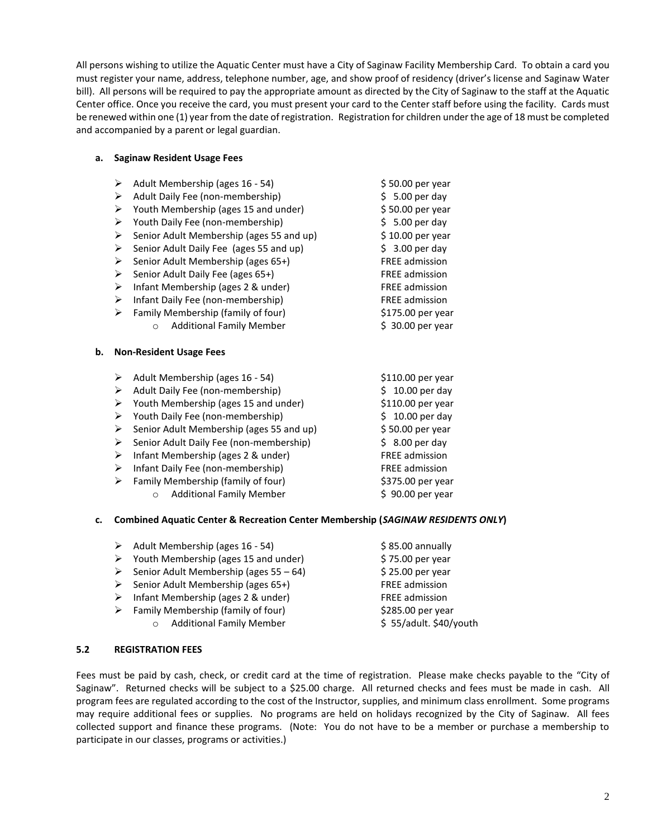All persons wishing to utilize the Aquatic Center must have a City of Saginaw Facility Membership Card. To obtain a card you must register your name, address, telephone number, age, and show proof of residency (driver's license and Saginaw Water bill). All persons will be required to pay the appropriate amount as directed by the City of Saginaw to the staff at the Aquatic Center office. Once you receive the card, you must present your card to the Center staff before using the facility. Cards must be renewed within one (1) year from the date of registration. Registration for children under the age of 18 must be completed and accompanied by a parent or legal guardian.

#### **a. Saginaw Resident Usage Fees**

|    | ➤                          | Adult Membership (ages 16 - 54)                                                     | \$50.00 per year                    |
|----|----------------------------|-------------------------------------------------------------------------------------|-------------------------------------|
|    | ➤                          | Adult Daily Fee (non-membership)                                                    | $$5.00$ per day                     |
|    | ➤                          | Youth Membership (ages 15 and under)                                                | \$50.00 per year                    |
|    | ➤                          | Youth Daily Fee (non-membership)                                                    | $$5.00$ per day                     |
|    | ≻                          | Senior Adult Membership (ages 55 and up)                                            | \$10.00 per year                    |
|    | ≻                          | Senior Adult Daily Fee (ages 55 and up)                                             | $$3.00$ per day                     |
|    | ➤                          | Senior Adult Membership (ages 65+)                                                  | FREE admission                      |
|    | ➤                          | Senior Adult Daily Fee (ages 65+)                                                   | <b>FREE</b> admission               |
|    | ➤                          | Infant Membership (ages 2 & under)                                                  | <b>FREE admission</b>               |
|    | ≻                          | Infant Daily Fee (non-membership)                                                   | <b>FREE</b> admission               |
|    | ➤                          | Family Membership (family of four)                                                  | \$175.00 per year                   |
|    |                            | <b>Additional Family Member</b><br>$\circ$                                          | \$ 30.00 per year                   |
|    |                            |                                                                                     |                                     |
|    |                            | <b>Non-Resident Usage Fees</b>                                                      |                                     |
| b. | ➤                          |                                                                                     |                                     |
|    | ➤                          | Adult Membership (ages 16 - 54)                                                     | \$110.00 per year                   |
|    | ➤                          | Adult Daily Fee (non-membership)                                                    | $$10.00$ per day                    |
|    | ➤                          | Youth Membership (ages 15 and under)                                                | \$110.00 per year                   |
|    |                            | Youth Daily Fee (non-membership)                                                    | $$10.00$ per day                    |
|    | ≻<br>$\blacktriangleright$ | Senior Adult Membership (ages 55 and up)<br>Senior Adult Daily Fee (non-membership) | \$50.00 per year<br>$$8.00$ per day |
|    | ➤                          |                                                                                     | FREE admission                      |
|    | ➤                          | Infant Membership (ages 2 & under)                                                  | <b>FREE admission</b>               |
|    | ➤                          | Infant Daily Fee (non-membership)<br>Family Membership (family of four)             | \$375.00 per year                   |

#### **c. Combined Aquatic Center & Recreation Center Membership (***SAGINAW RESIDENTS ONLY***)**

| $\triangleright$ Adult Membership (ages 16 - 54)      | $$85.00$ annually      |
|-------------------------------------------------------|------------------------|
| $\triangleright$ Youth Membership (ages 15 and under) | \$75.00 per year       |
| Senior Adult Membership (ages $55 - 64$ )             | $$25.00$ per year      |
| $\triangleright$ Senior Adult Membership (ages 65+)   | <b>FREE</b> admission  |
| $\triangleright$ Infant Membership (ages 2 & under)   | FREE admission         |
| $\triangleright$ Family Membership (family of four)   | \$285.00 per year      |
| <b>Additional Family Member</b><br>$\circ$            | \$55/adult. \$40/youth |
|                                                       |                        |

### **5.2 REGISTRATION FEES**

Fees must be paid by cash, check, or credit card at the time of registration. Please make checks payable to the "City of Saginaw". Returned checks will be subject to a \$25.00 charge. All returned checks and fees must be made in cash. All program fees are regulated according to the cost of the Instructor, supplies, and minimum class enrollment. Some programs may require additional fees or supplies. No programs are held on holidays recognized by the City of Saginaw. All fees collected support and finance these programs. (Note: You do not have to be a member or purchase a membership to participate in our classes, programs or activities.)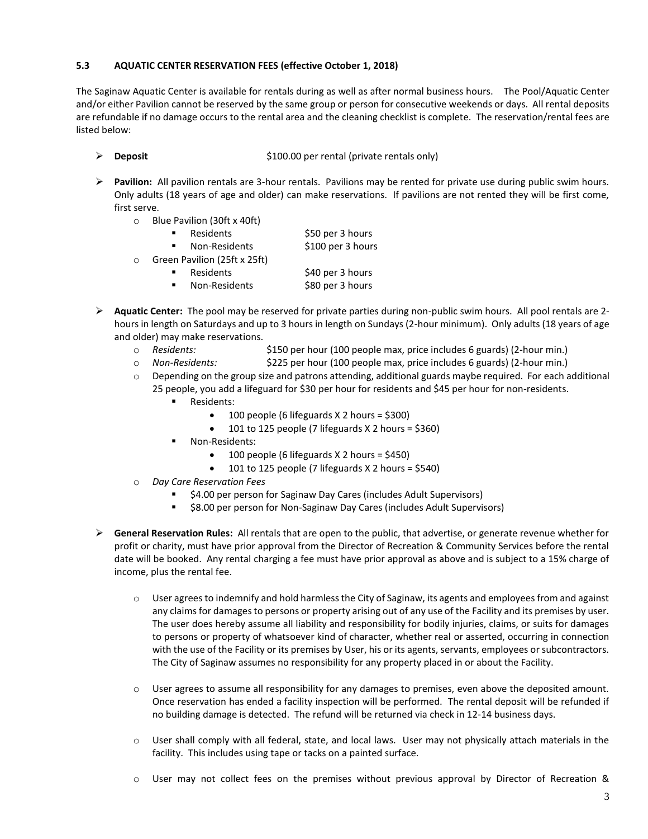## **5.3 AQUATIC CENTER RESERVATION FEES (effective October 1, 2018)**

The Saginaw Aquatic Center is available for rentals during as well as after normal business hours. The Pool/Aquatic Center and/or either Pavilion cannot be reserved by the same group or person for consecutive weekends or days. All rental deposits are refundable if no damage occurs to the rental area and the cleaning checklist is complete. The reservation/rental fees are listed below:

- **Deposit** \$100.00 per rental (private rentals only)
- **Pavilion:** All pavilion rentals are 3-hour rentals. Pavilions may be rented for private use during public swim hours. Only adults (18 years of age and older) can make reservations. If pavilions are not rented they will be first come, first serve.
	- o Blue Pavilion (30ft x 40ft)

|         | Residents                    | \$50 per 3 hours  |
|---------|------------------------------|-------------------|
|         | Non-Residents                | \$100 per 3 hours |
| $\circ$ | Green Pavilion (25ft x 25ft) |                   |

- - Residents \$40 per 3 hours Non-Residents \$80 per 3 hours
- **Aquatic Center:** The pool may be reserved for private parties during non-public swim hours. All pool rentals are 2 hours in length on Saturdays and up to 3 hours in length on Sundays (2-hour minimum). Only adults (18 years of age and older) may make reservations.
	- o *Residents:* \$150 per hour (100 people max, price includes 6 guards) (2-hour min.)
	- o *Non-Residents:* \$225 per hour (100 people max, price includes 6 guards) (2-hour min.)
	- $\circ$  Depending on the group size and patrons attending, additional guards maybe required. For each additional 25 people, you add a lifeguard for \$30 per hour for residents and \$45 per hour for non-residents.
		- Residents:
			- $\bullet$  100 people (6 lifeguards X 2 hours = \$300)
				- 101 to 125 people (7 lifeguards X 2 hours = \$360)
		- Non-Residents:
			- $\bullet$  100 people (6 lifeguards X 2 hours = \$450)
			- 101 to 125 people (7 lifeguards  $X$  2 hours = \$540)
	- o *Day Care Reservation Fees*
		- \$4.00 per person for Saginaw Day Cares (includes Adult Supervisors)
		- \$8.00 per person for Non-Saginaw Day Cares (includes Adult Supervisors)
- **General Reservation Rules:** All rentals that are open to the public, that advertise, or generate revenue whether for profit or charity, must have prior approval from the Director of Recreation & Community Services before the rental date will be booked. Any rental charging a fee must have prior approval as above and is subject to a 15% charge of income, plus the rental fee.
	- $\circ$  User agrees to indemnify and hold harmless the City of Saginaw, its agents and employees from and against any claims for damages to persons or property arising out of any use of the Facility and its premises by user. The user does hereby assume all liability and responsibility for bodily injuries, claims, or suits for damages to persons or property of whatsoever kind of character, whether real or asserted, occurring in connection with the use of the Facility or its premises by User, his or its agents, servants, employees or subcontractors. The City of Saginaw assumes no responsibility for any property placed in or about the Facility.
	- o User agrees to assume all responsibility for any damages to premises, even above the deposited amount. Once reservation has ended a facility inspection will be performed. The rental deposit will be refunded if no building damage is detected. The refund will be returned via check in 12-14 business days.
	- o User shall comply with all federal, state, and local laws. User may not physically attach materials in the facility. This includes using tape or tacks on a painted surface.
	- o User may not collect fees on the premises without previous approval by Director of Recreation &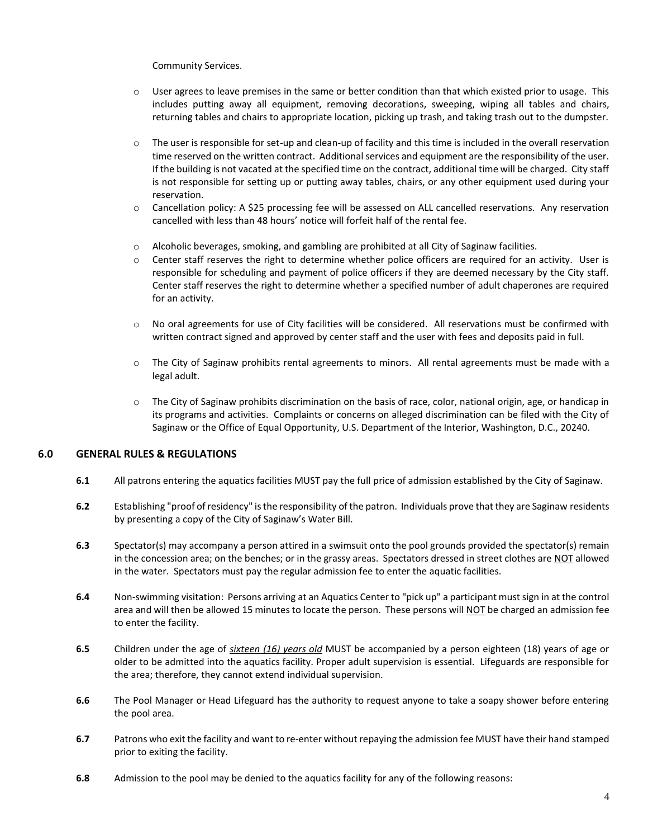Community Services.

- $\circ$  User agrees to leave premises in the same or better condition than that which existed prior to usage. This includes putting away all equipment, removing decorations, sweeping, wiping all tables and chairs, returning tables and chairs to appropriate location, picking up trash, and taking trash out to the dumpster.
- $\circ$  The user is responsible for set-up and clean-up of facility and this time is included in the overall reservation time reserved on the written contract. Additional services and equipment are the responsibility of the user. If the building is not vacated at the specified time on the contract, additional time will be charged. City staff is not responsible for setting up or putting away tables, chairs, or any other equipment used during your reservation.
- o Cancellation policy: A \$25 processing fee will be assessed on ALL cancelled reservations. Any reservation cancelled with less than 48 hours' notice will forfeit half of the rental fee.
- $\circ$  Alcoholic beverages, smoking, and gambling are prohibited at all City of Saginaw facilities.
- $\circ$  Center staff reserves the right to determine whether police officers are required for an activity. User is responsible for scheduling and payment of police officers if they are deemed necessary by the City staff. Center staff reserves the right to determine whether a specified number of adult chaperones are required for an activity.
- $\circ$  No oral agreements for use of City facilities will be considered. All reservations must be confirmed with written contract signed and approved by center staff and the user with fees and deposits paid in full.
- $\circ$  The City of Saginaw prohibits rental agreements to minors. All rental agreements must be made with a legal adult.
- o The City of Saginaw prohibits discrimination on the basis of race, color, national origin, age, or handicap in its programs and activities. Complaints or concerns on alleged discrimination can be filed with the City of Saginaw or the Office of Equal Opportunity, U.S. Department of the Interior, Washington, D.C., 20240.

# **6.0 GENERAL RULES & REGULATIONS**

- **6.1** All patrons entering the aquatics facilities MUST pay the full price of admission established by the City of Saginaw.
- **6.2** Establishing "proof of residency" is the responsibility of the patron. Individuals prove that they are Saginaw residents by presenting a copy of the City of Saginaw's Water Bill.
- **6.3** Spectator(s) may accompany a person attired in a swimsuit onto the pool grounds provided the spectator(s) remain in the concession area; on the benches; or in the grassy areas. Spectators dressed in street clothes are NOT allowed in the water. Spectators must pay the regular admission fee to enter the aquatic facilities.
- **6.4** Non-swimming visitation: Persons arriving at an Aquatics Center to "pick up" a participant must sign in at the control area and will then be allowed 15 minutes to locate the person. These persons will NOT be charged an admission fee to enter the facility.
- **6.5** Children under the age of *sixteen (16) years old* MUST be accompanied by a person eighteen (18) years of age or older to be admitted into the aquatics facility. Proper adult supervision is essential. Lifeguards are responsible for the area; therefore, they cannot extend individual supervision.
- **6.6** The Pool Manager or Head Lifeguard has the authority to request anyone to take a soapy shower before entering the pool area.
- **6.7** Patrons who exit the facility and want to re-enter without repaying the admission fee MUST have their hand stamped prior to exiting the facility.
- **6.8** Admission to the pool may be denied to the aquatics facility for any of the following reasons: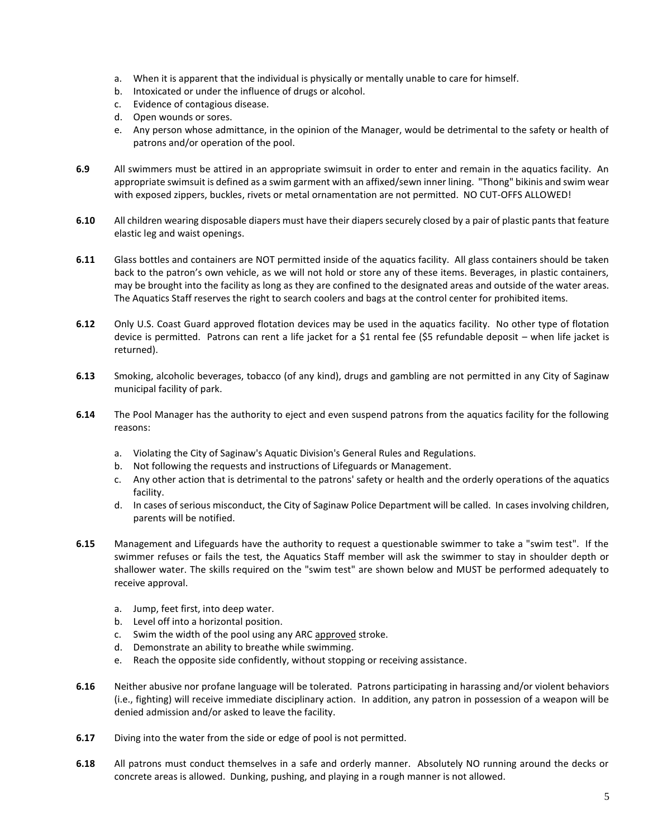- a. When it is apparent that the individual is physically or mentally unable to care for himself.
- b. Intoxicated or under the influence of drugs or alcohol.
- c. Evidence of contagious disease.
- d. Open wounds or sores.
- e. Any person whose admittance, in the opinion of the Manager, would be detrimental to the safety or health of patrons and/or operation of the pool.
- **6.9** All swimmers must be attired in an appropriate swimsuit in order to enter and remain in the aquatics facility. An appropriate swimsuit is defined as a swim garment with an affixed/sewn inner lining. "Thong" bikinis and swim wear with exposed zippers, buckles, rivets or metal ornamentation are not permitted. NO CUT-OFFS ALLOWED!
- **6.10** All children wearing disposable diapers must have their diapers securely closed by a pair of plastic pants that feature elastic leg and waist openings.
- **6.11** Glass bottles and containers are NOT permitted inside of the aquatics facility. All glass containers should be taken back to the patron's own vehicle, as we will not hold or store any of these items. Beverages, in plastic containers, may be brought into the facility as long as they are confined to the designated areas and outside of the water areas. The Aquatics Staff reserves the right to search coolers and bags at the control center for prohibited items.
- **6.12** Only U.S. Coast Guard approved flotation devices may be used in the aquatics facility. No other type of flotation device is permitted. Patrons can rent a life jacket for a \$1 rental fee (\$5 refundable deposit – when life jacket is returned).
- **6.13** Smoking, alcoholic beverages, tobacco (of any kind), drugs and gambling are not permitted in any City of Saginaw municipal facility of park.
- **6.14** The Pool Manager has the authority to eject and even suspend patrons from the aquatics facility for the following reasons:
	- a. Violating the City of Saginaw's Aquatic Division's General Rules and Regulations.
	- b. Not following the requests and instructions of Lifeguards or Management.
	- c. Any other action that is detrimental to the patrons' safety or health and the orderly operations of the aquatics facility.
	- d. In cases of serious misconduct, the City of Saginaw Police Department will be called. In cases involving children, parents will be notified.
- **6.15** Management and Lifeguards have the authority to request a questionable swimmer to take a "swim test". If the swimmer refuses or fails the test, the Aquatics Staff member will ask the swimmer to stay in shoulder depth or shallower water. The skills required on the "swim test" are shown below and MUST be performed adequately to receive approval.
	- a. Jump, feet first, into deep water.
	- b. Level off into a horizontal position.
	- c. Swim the width of the pool using any ARC approved stroke.
	- d. Demonstrate an ability to breathe while swimming.
	- e. Reach the opposite side confidently, without stopping or receiving assistance.
- **6.16** Neither abusive nor profane language will be tolerated. Patrons participating in harassing and/or violent behaviors (i.e., fighting) will receive immediate disciplinary action. In addition, any patron in possession of a weapon will be denied admission and/or asked to leave the facility.
- **6.17** Diving into the water from the side or edge of pool is not permitted.
- **6.18** All patrons must conduct themselves in a safe and orderly manner. Absolutely NO running around the decks or concrete areas is allowed. Dunking, pushing, and playing in a rough manner is not allowed.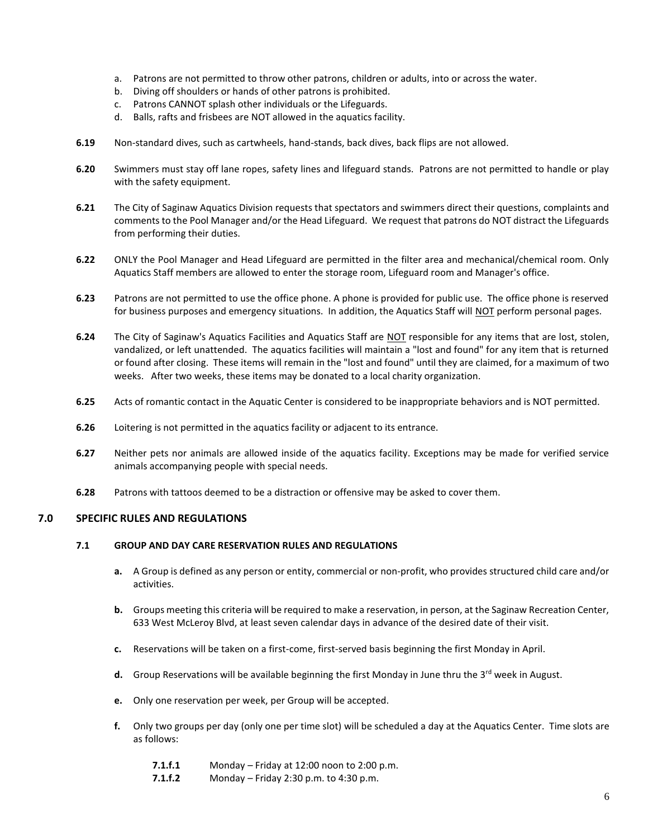- a. Patrons are not permitted to throw other patrons, children or adults, into or across the water.
- b. Diving off shoulders or hands of other patrons is prohibited.
- c. Patrons CANNOT splash other individuals or the Lifeguards.
- d. Balls, rafts and frisbees are NOT allowed in the aquatics facility.
- **6.19** Non-standard dives, such as cartwheels, hand-stands, back dives, back flips are not allowed.
- **6.20** Swimmers must stay off lane ropes, safety lines and lifeguard stands. Patrons are not permitted to handle or play with the safety equipment.
- **6.21** The City of Saginaw Aquatics Division requests that spectators and swimmers direct their questions, complaints and comments to the Pool Manager and/or the Head Lifeguard. We request that patrons do NOT distract the Lifeguards from performing their duties.
- **6.22** ONLY the Pool Manager and Head Lifeguard are permitted in the filter area and mechanical/chemical room. Only Aquatics Staff members are allowed to enter the storage room, Lifeguard room and Manager's office.
- **6.23** Patrons are not permitted to use the office phone. A phone is provided for public use. The office phone is reserved for business purposes and emergency situations. In addition, the Aquatics Staff will NOT perform personal pages.
- **6.24** The City of Saginaw's Aquatics Facilities and Aquatics Staff are NOT responsible for any items that are lost, stolen, vandalized, or left unattended. The aquatics facilities will maintain a "lost and found" for any item that is returned or found after closing. These items will remain in the "lost and found" until they are claimed, for a maximum of two weeks. After two weeks, these items may be donated to a local charity organization.
- **6.25** Acts of romantic contact in the Aquatic Center is considered to be inappropriate behaviors and is NOT permitted.
- **6.26** Loitering is not permitted in the aquatics facility or adjacent to its entrance.
- **6.27** Neither pets nor animals are allowed inside of the aquatics facility. Exceptions may be made for verified service animals accompanying people with special needs.
- **6.28** Patrons with tattoos deemed to be a distraction or offensive may be asked to cover them.

### **7.0 SPECIFIC RULES AND REGULATIONS**

#### **7.1 GROUP AND DAY CARE RESERVATION RULES AND REGULATIONS**

- **a.** A Group is defined as any person or entity, commercial or non-profit, who provides structured child care and/or activities.
- **b.** Groups meeting this criteria will be required to make a reservation, in person, at the Saginaw Recreation Center, 633 West McLeroy Blvd, at least seven calendar days in advance of the desired date of their visit.
- **c.** Reservations will be taken on a first-come, first-served basis beginning the first Monday in April.
- **d.** Group Reservations will be available beginning the first Monday in June thru the 3<sup>rd</sup> week in August.
- **e.** Only one reservation per week, per Group will be accepted.
- **f.** Only two groups per day (only one per time slot) will be scheduled a day at the Aquatics Center. Time slots are as follows:
	- **7.1.f.1** Monday Friday at 12:00 noon to 2:00 p.m.
	- **7.1.f.2** Monday Friday 2:30 p.m. to 4:30 p.m.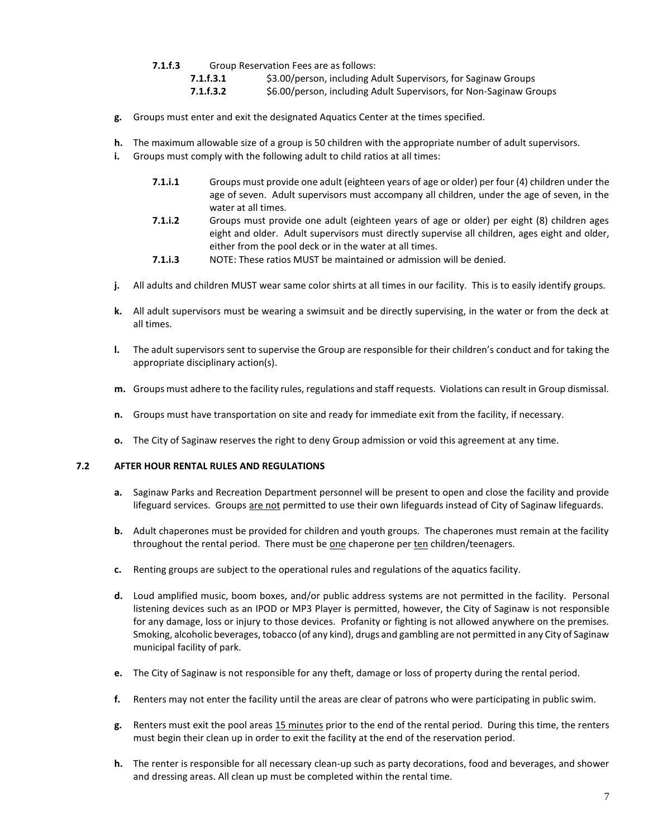- **7.1.f.3** Group Reservation Fees are as follows:
	- **7.1.f.3.1** \$3.00/person, including Adult Supervisors, for Saginaw Groups **7.1.f.3.2** \$6.00/person, including Adult Supervisors, for Non-Saginaw Groups
- **g.** Groups must enter and exit the designated Aquatics Center at the times specified.
- **h.** The maximum allowable size of a group is 50 children with the appropriate number of adult supervisors.
- **i.** Groups must comply with the following adult to child ratios at all times:
	- **7.1.i.1** Groups must provide one adult (eighteen years of age or older) per four (4) children under the age of seven. Adult supervisors must accompany all children, under the age of seven, in the water at all times.
	- **7.1.i.2** Groups must provide one adult (eighteen years of age or older) per eight (8) children ages eight and older. Adult supervisors must directly supervise all children, ages eight and older, either from the pool deck or in the water at all times.
	- **7.1.i.3** NOTE: These ratios MUST be maintained or admission will be denied.
- **j.** All adults and children MUST wear same color shirts at all times in our facility. This is to easily identify groups.
- **k.** All adult supervisors must be wearing a swimsuit and be directly supervising, in the water or from the deck at all times.
- **l.** The adult supervisors sent to supervise the Group are responsible for their children's conduct and for taking the appropriate disciplinary action(s).
- **m.** Groups must adhere to the facility rules, regulations and staff requests. Violations can result in Group dismissal.
- **n.** Groups must have transportation on site and ready for immediate exit from the facility, if necessary.
- **o.** The City of Saginaw reserves the right to deny Group admission or void this agreement at any time.

## **7.2 AFTER HOUR RENTAL RULES AND REGULATIONS**

- **a.** Saginaw Parks and Recreation Department personnel will be present to open and close the facility and provide lifeguard services. Groups are not permitted to use their own lifeguards instead of City of Saginaw lifeguards.
- **b.** Adult chaperones must be provided for children and youth groups. The chaperones must remain at the facility throughout the rental period. There must be one chaperone per ten children/teenagers.
- **c.** Renting groups are subject to the operational rules and regulations of the aquatics facility.
- **d.** Loud amplified music, boom boxes, and/or public address systems are not permitted in the facility. Personal listening devices such as an IPOD or MP3 Player is permitted, however, the City of Saginaw is not responsible for any damage, loss or injury to those devices. Profanity or fighting is not allowed anywhere on the premises. Smoking, alcoholic beverages, tobacco (of any kind), drugs and gambling are not permitted in any City of Saginaw municipal facility of park.
- **e.** The City of Saginaw is not responsible for any theft, damage or loss of property during the rental period.
- **f.** Renters may not enter the facility until the areas are clear of patrons who were participating in public swim.
- **g.** Renters must exit the pool areas 15 minutes prior to the end of the rental period. During this time, the renters must begin their clean up in order to exit the facility at the end of the reservation period.
- **h.** The renter is responsible for all necessary clean-up such as party decorations, food and beverages, and shower and dressing areas. All clean up must be completed within the rental time.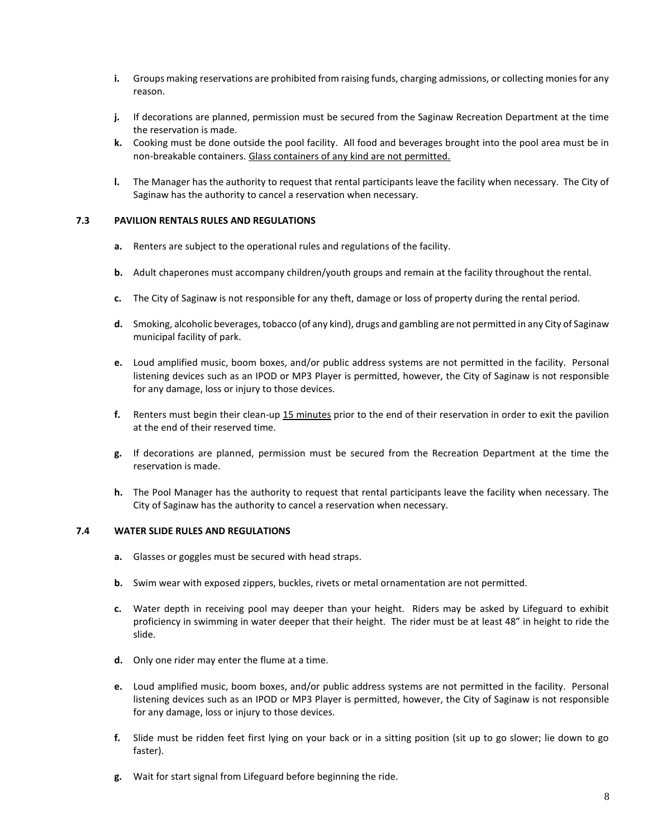- **i.** Groups making reservations are prohibited from raising funds, charging admissions, or collecting monies for any reason.
- **j.** If decorations are planned, permission must be secured from the Saginaw Recreation Department at the time the reservation is made.
- **k.** Cooking must be done outside the pool facility. All food and beverages brought into the pool area must be in non-breakable containers. Glass containers of any kind are not permitted.
- **l.** The Manager has the authority to request that rental participants leave the facility when necessary. The City of Saginaw has the authority to cancel a reservation when necessary.

#### **7.3 PAVILION RENTALS RULES AND REGULATIONS**

- **a.** Renters are subject to the operational rules and regulations of the facility.
- **b.** Adult chaperones must accompany children/youth groups and remain at the facility throughout the rental.
- **c.** The City of Saginaw is not responsible for any theft, damage or loss of property during the rental period.
- **d.** Smoking, alcoholic beverages, tobacco (of any kind), drugs and gambling are not permitted in any City of Saginaw municipal facility of park.
- **e.** Loud amplified music, boom boxes, and/or public address systems are not permitted in the facility. Personal listening devices such as an IPOD or MP3 Player is permitted, however, the City of Saginaw is not responsible for any damage, loss or injury to those devices.
- **f.** Renters must begin their clean-up 15 minutes prior to the end of their reservation in order to exit the pavilion at the end of their reserved time.
- **g.** If decorations are planned, permission must be secured from the Recreation Department at the time the reservation is made.
- **h.** The Pool Manager has the authority to request that rental participants leave the facility when necessary. The City of Saginaw has the authority to cancel a reservation when necessary.

### **7.4 WATER SLIDE RULES AND REGULATIONS**

- **a.** Glasses or goggles must be secured with head straps.
- **b.** Swim wear with exposed zippers, buckles, rivets or metal ornamentation are not permitted.
- **c.** Water depth in receiving pool may deeper than your height. Riders may be asked by Lifeguard to exhibit proficiency in swimming in water deeper that their height. The rider must be at least 48" in height to ride the slide.
- **d.** Only one rider may enter the flume at a time.
- **e.** Loud amplified music, boom boxes, and/or public address systems are not permitted in the facility. Personal listening devices such as an IPOD or MP3 Player is permitted, however, the City of Saginaw is not responsible for any damage, loss or injury to those devices.
- **f.** Slide must be ridden feet first lying on your back or in a sitting position (sit up to go slower; lie down to go faster).
- **g.** Wait for start signal from Lifeguard before beginning the ride.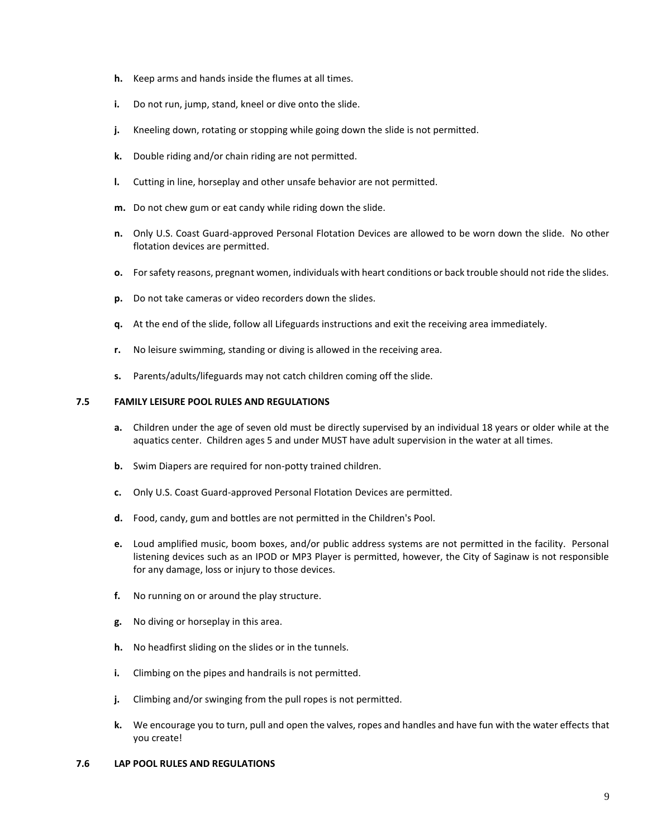- **h.** Keep arms and hands inside the flumes at all times.
- **i.** Do not run, jump, stand, kneel or dive onto the slide.
- **j.** Kneeling down, rotating or stopping while going down the slide is not permitted.
- **k.** Double riding and/or chain riding are not permitted.
- **l.** Cutting in line, horseplay and other unsafe behavior are not permitted.
- **m.** Do not chew gum or eat candy while riding down the slide.
- **n.** Only U.S. Coast Guard-approved Personal Flotation Devices are allowed to be worn down the slide. No other flotation devices are permitted.
- **o.** For safety reasons, pregnant women, individuals with heart conditions or back trouble should not ride the slides.
- **p.** Do not take cameras or video recorders down the slides.
- **q.** At the end of the slide, follow all Lifeguards instructions and exit the receiving area immediately.
- **r.** No leisure swimming, standing or diving is allowed in the receiving area.
- **s.** Parents/adults/lifeguards may not catch children coming off the slide.

#### **7.5 FAMILY LEISURE POOL RULES AND REGULATIONS**

- **a.** Children under the age of seven old must be directly supervised by an individual 18 years or older while at the aquatics center.Children ages 5 and under MUST have adult supervision in the water at all times.
- **b.** Swim Diapers are required for non-potty trained children.
- **c.** Only U.S. Coast Guard-approved Personal Flotation Devices are permitted.
- **d.** Food, candy, gum and bottles are not permitted in the Children's Pool.
- **e.** Loud amplified music, boom boxes, and/or public address systems are not permitted in the facility. Personal listening devices such as an IPOD or MP3 Player is permitted, however, the City of Saginaw is not responsible for any damage, loss or injury to those devices.
- **f.** No running on or around the play structure.
- **g.** No diving or horseplay in this area.
- **h.** No headfirst sliding on the slides or in the tunnels.
- **i.** Climbing on the pipes and handrails is not permitted.
- **j.** Climbing and/or swinging from the pull ropes is not permitted.
- **k.** We encourage you to turn, pull and open the valves, ropes and handles and have fun with the water effects that you create!

#### **7.6 LAP POOL RULES AND REGULATIONS**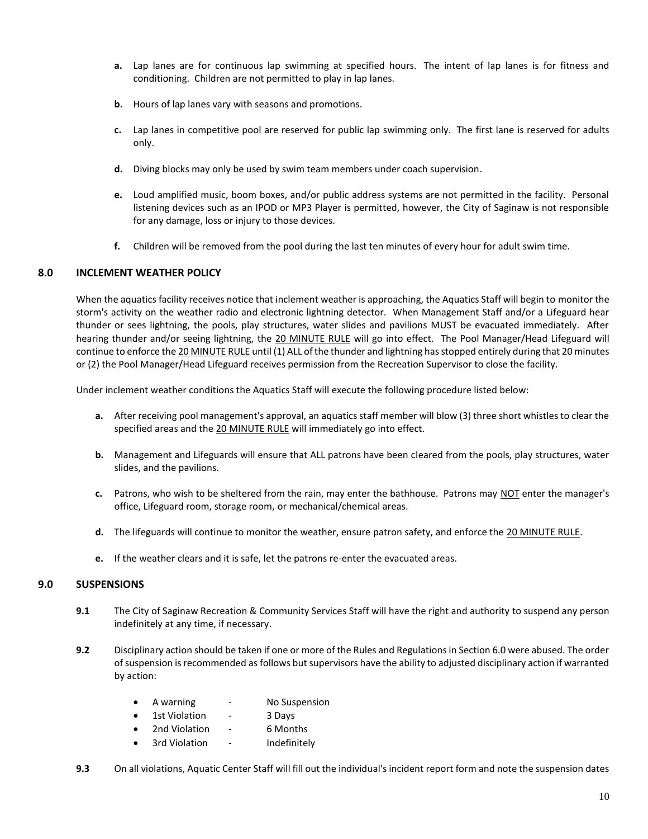- **a.** Lap lanes are for continuous lap swimming at specified hours. The intent of lap lanes is for fitness and conditioning. Children are not permitted to play in lap lanes.
- **b.** Hours of lap lanes vary with seasons and promotions.
- **c.** Lap lanes in competitive pool are reserved for public lap swimming only. The first lane is reserved for adults only.
- **d.** Diving blocks may only be used by swim team members under coach supervision.
- **e.** Loud amplified music, boom boxes, and/or public address systems are not permitted in the facility. Personal listening devices such as an IPOD or MP3 Player is permitted, however, the City of Saginaw is not responsible for any damage, loss or injury to those devices.
- **f.** Children will be removed from the pool during the last ten minutes of every hour for adult swim time.

### **8.0 INCLEMENT WEATHER POLICY**

When the aquatics facility receives notice that inclement weather is approaching, the Aquatics Staff will begin to monitor the storm's activity on the weather radio and electronic lightning detector. When Management Staff and/or a Lifeguard hear thunder or sees lightning, the pools, play structures, water slides and pavilions MUST be evacuated immediately. After hearing thunder and/or seeing lightning, the 20 MINUTE RULE will go into effect. The Pool Manager/Head Lifeguard will continue to enforce the 20 MINUTE RULE until (1) ALL of the thunder and lightning has stopped entirely during that 20 minutes or (2) the Pool Manager/Head Lifeguard receives permission from the Recreation Supervisor to close the facility.

Under inclement weather conditions the Aquatics Staff will execute the following procedure listed below:

- **a.** After receiving pool management's approval, an aquatics staff member will blow (3) three short whistles to clear the specified areas and the 20 MINUTE RULE will immediately go into effect.
- **b.** Management and Lifeguards will ensure that ALL patrons have been cleared from the pools, play structures, water slides, and the pavilions.
- **c.** Patrons, who wish to be sheltered from the rain, may enter the bathhouse. Patrons may NOT enter the manager's office, Lifeguard room, storage room, or mechanical/chemical areas.
- **d.** The lifeguards will continue to monitor the weather, ensure patron safety, and enforce the 20 MINUTE RULE.
- **e.** If the weather clears and it is safe, let the patrons re-enter the evacuated areas.

### **9.0 SUSPENSIONS**

- **9.1** The City of Saginaw Recreation & Community Services Staff will have the right and authority to suspend any person indefinitely at any time, if necessary.
- **9.2** Disciplinary action should be taken if one or more of the Rules and Regulations in Section 6.0 were abused. The order of suspension is recommended as follows but supervisors have the ability to adjusted disciplinary action if warranted by action:
	- A warning No Suspension
	- 1st Violation 3 Days
	- 2nd Violation 6 Months
	- 3rd Violation Indefinitely
- **9.3** On all violations, Aquatic Center Staff will fill out the individual's incident report form and note the suspension dates